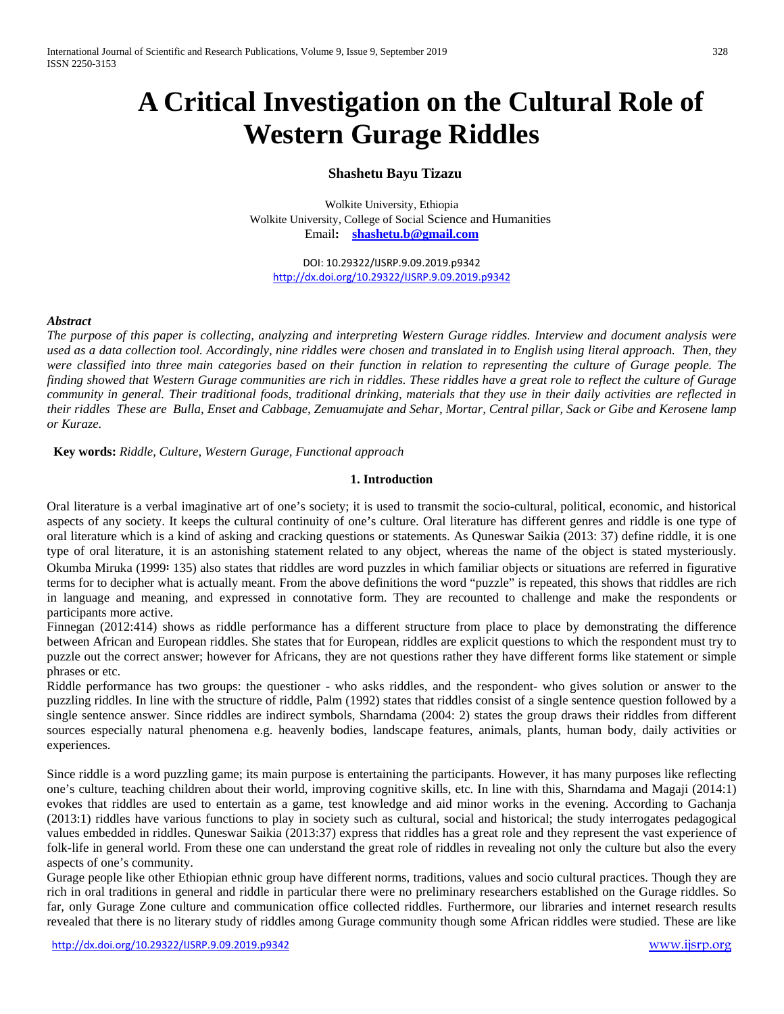# **A Critical Investigation on the Cultural Role of Western Gurage Riddles**

# **Shashetu Bayu Tizazu**

Wolkite University, Ethiopia Wolkite University, College of Social Science and Humanities Email**: [shashetu.b@gmail.com](mailto:shashetu.b@gmail.com)**

DOI: 10.29322/IJSRP.9.09.2019.p9342 <http://dx.doi.org/10.29322/IJSRP.9.09.2019.p9342>

#### *Abstract*

*The purpose of this paper is collecting, analyzing and interpreting Western Gurage riddles. Interview and document analysis were used as a data collection tool. Accordingly, nine riddles were chosen and translated in to English using literal approach. Then, they were classified into three main categories based on their function in relation to representing the culture of Gurage people. The finding showed that Western Gurage communities are rich in riddles. These riddles have a great role to reflect the culture of Gurage community in general. Their traditional foods, traditional drinking, materials that they use in their daily activities are reflected in their riddles These are Bulla, Enset and Cabbage, Zemuamujate and Sehar, Mortar, Central pillar, Sack or Gibe and Kerosene lamp or Kuraze.* 

#### **Key words:** *Riddle, Culture, Western Gurage, Functional approach*

#### **1. Introduction**

Oral literature is a verbal imaginative art of one's society; it is used to transmit the socio-cultural, political, economic, and historical aspects of any society. It keeps the cultural continuity of one's culture. Oral literature has different genres and riddle is one type of oral literature which is a kind of asking and cracking questions or statements. As Quneswar Saikia (2013: 37) define riddle, it is one type of oral literature, it is an astonishing statement related to any object, whereas the name of the object is stated mysteriously. Okumba Miruka (1999፡ 135) also states that riddles are word puzzles in which familiar objects or situations are referred in figurative terms for to decipher what is actually meant. From the above definitions the word "puzzle" is repeated, this shows that riddles are rich in language and meaning, and expressed in connotative form. They are recounted to challenge and make the respondents or participants more active.

Finnegan (2012:414) shows as riddle performance has a different structure from place to place by demonstrating the difference between African and European riddles. She states that for European, riddles are explicit questions to which the respondent must try to puzzle out the correct answer; however for Africans, they are not questions rather they have different forms like statement or simple phrases or etc.

Riddle performance has two groups: the questioner - who asks riddles, and the respondent- who gives solution or answer to the puzzling riddles. In line with the structure of riddle, Palm (1992) states that riddles consist of a single sentence question followed by a single sentence answer. Since riddles are indirect symbols, Sharndama (2004: 2) states the group draws their riddles from different sources especially natural phenomena e.g. heavenly bodies, landscape features, animals, plants, human body, daily activities or experiences.

Since riddle is a word puzzling game; its main purpose is entertaining the participants. However, it has many purposes like reflecting one's culture, teaching children about their world, improving cognitive skills, etc. In line with this, Sharndama and Magaji (2014:1) evokes that riddles are used to entertain as a game, test knowledge and aid minor works in the evening. According to Gachanja (2013:1) riddles have various functions to play in society such as cultural, social and historical; the study interrogates pedagogical values embedded in riddles. Quneswar Saikia (2013:37) express that riddles has a great role and they represent the vast experience of folk-life in general world. From these one can understand the great role of riddles in revealing not only the culture but also the every aspects of one's community.

Gurage people like other Ethiopian ethnic group have different norms, traditions, values and socio cultural practices. Though they are rich in oral traditions in general and riddle in particular there were no preliminary researchers established on the Gurage riddles. So far, only Gurage Zone culture and communication office collected riddles. Furthermore, our libraries and internet research results revealed that there is no literary study of riddles among Gurage community though some African riddles were studied. These are like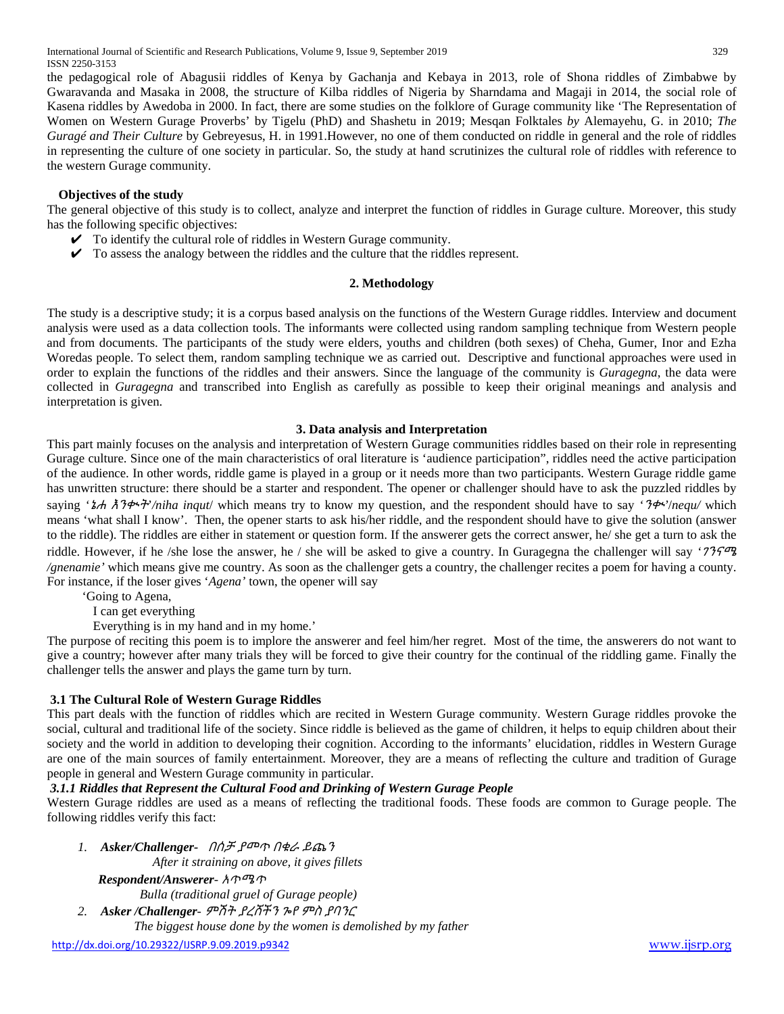the pedagogical role of Abagusii riddles of Kenya by Gachanja and Kebaya in 2013, role of Shona riddles of Zimbabwe by Gwaravanda and Masaka in 2008, the structure of Kilba riddles of Nigeria by Sharndama and Magaji in 2014, the social role of Kasena riddles by Awedoba in 2000. In fact, there are some studies on the folklore of Gurage community like 'The Representation of Women on Western Gurage Proverbs' by Tigelu (PhD) and Shashetu in 2019; Mesqan Folktales *by* Alemayehu, G. in 2010; *The Guragé and Their Culture* by Gebreyesus, H. in 1991.However, no one of them conducted on riddle in general and the role of riddles in representing the culture of one society in particular. So, the study at hand scrutinizes the cultural role of riddles with reference to the western Gurage community.

#### **Objectives of the study**

The general objective of this study is to collect, analyze and interpret the function of riddles in Gurage culture. Moreover, this study has the following specific objectives:

- $\triangledown$  To identify the cultural role of riddles in Western Gurage community.
- $\checkmark$  To assess the analogy between the riddles and the culture that the riddles represent.

#### **2. Methodology**

The study is a descriptive study; it is a corpus based analysis on the functions of the Western Gurage riddles. Interview and document analysis were used as a data collection tools. The informants were collected using random sampling technique from Western people and from documents. The participants of the study were elders, youths and children (both sexes) of Cheha, Gumer, Inor and Ezha Woredas people. To select them, random sampling technique we as carried out. Descriptive and functional approaches were used in order to explain the functions of the riddles and their answers. Since the language of the community is *Guragegna*, the data were collected in *Guragegna* and transcribed into English as carefully as possible to keep their original meanings and analysis and interpretation is given.

#### **3. Data analysis and Interpretation**

This part mainly focuses on the analysis and interpretation of Western Gurage communities riddles based on their role in representing Gurage culture. Since one of the main characteristics of oral literature is 'audience participation", riddles need the active participation of the audience. In other words, riddle game is played in a group or it needs more than two participants. Western Gurage riddle game has unwritten structure: there should be a starter and respondent. The opener or challenger should have to ask the puzzled riddles by saying *'*ኔሐ እንቊት'*/niha inqut*/ which means try to know my question, and the respondent should have to say *'*ንቊ*'*/*nequ/* which means 'what shall I know'. Then, the opener starts to ask his/her riddle, and the respondent should have to give the solution (answer to the riddle). The riddles are either in statement or question form. If the answerer gets the correct answer, he/ she get a turn to ask the riddle. However, if he /she lose the answer, he / she will be asked to give a country. In Guragegna the challenger will say *'*ገንናሜ */gnenamie'* which means give me country. As soon as the challenger gets a country, the challenger recites a poem for having a county. For instance, if the loser gives '*Agena'* town, the opener will say

'Going to Agena,

I can get everything

Everything is in my hand and in my home.'

The purpose of reciting this poem is to implore the answerer and feel him/her regret. Most of the time, the answerers do not want to give a country; however after many trials they will be forced to give their country for the continual of the riddling game. Finally the challenger tells the answer and plays the game turn by turn.

## **3.1 The Cultural Role of Western Gurage Riddles**

This part deals with the function of riddles which are recited in Western Gurage community. Western Gurage riddles provoke the social, cultural and traditional life of the society. Since riddle is believed as the game of children, it helps to equip children about their society and the world in addition to developing their cognition. According to the informants' elucidation, riddles in Western Gurage are one of the main sources of family entertainment. Moreover, they are a means of reflecting the culture and tradition of Gurage people in general and Western Gurage community in particular.

# *3.1.1 Riddles that Represent the Cultural Food and Drinking of Western Gurage People*

Western Gurage riddles are used as a means of reflecting the traditional foods. These foods are common to Gurage people. The following riddles verify this fact:

- *1. Asker/Challenger-* በሰቻ ያመጥ በቁራ ይጨን  *After it straining on above, it gives fillets Respondent/Answerer-* አጥሜጥ  *Bulla (traditional gruel of Gurage people)*
- *2. Asker /Challenger-* ምሽት ያረሸችን ጐየ ምስ ያባንር
- *The biggest house done by the women is demolished by my father*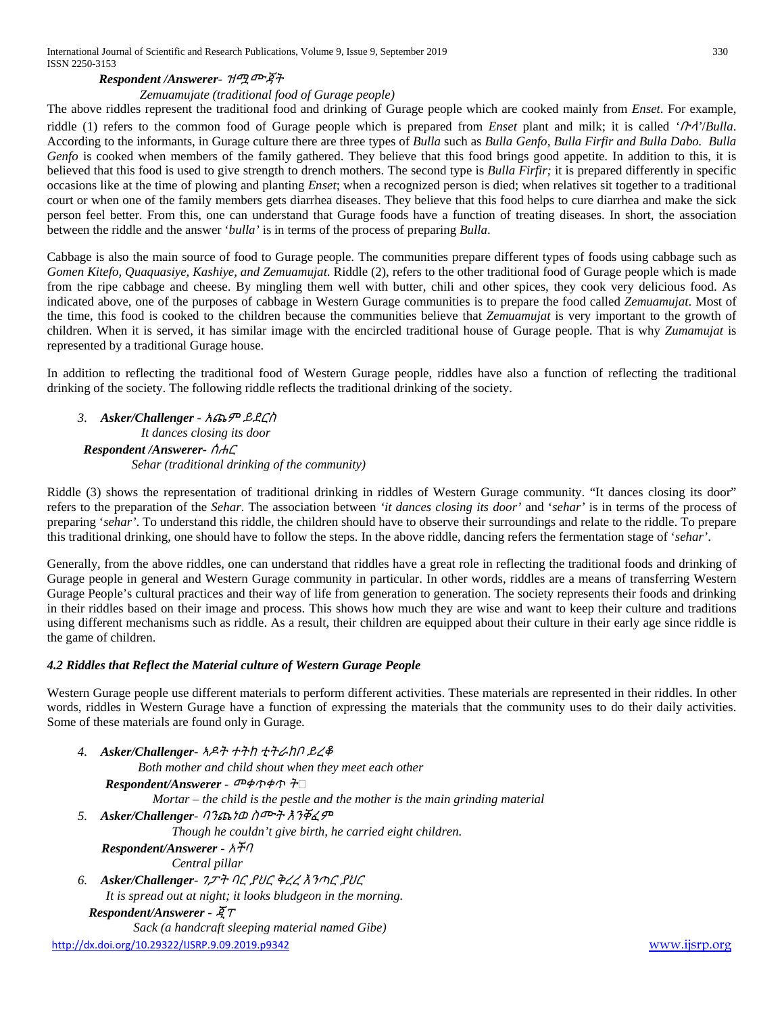# *Respondent /Answerer-* ዝሟሙጃት

# *Zemuamujate (traditional food of Gurage people)*

The above riddles represent the traditional food and drinking of Gurage people which are cooked mainly from *Enset*. For example, riddle (1) refers to the common food of Gurage people which is prepared from *Enset* plant and milk; it is called *'*ቡላ*'*/*Bulla*. According to the informants, in Gurage culture there are three types of *Bulla* such as *Bulla Genfo, Bulla Firfir and Bulla Dabo. Bulla Genfo* is cooked when members of the family gathered. They believe that this food brings good appetite. In addition to this, it is believed that this food is used to give strength to drench mothers. The second type is *Bulla Firfir;* it is prepared differently in specific occasions like at the time of plowing and planting *Enset*; when a recognized person is died; when relatives sit together to a traditional court or when one of the family members gets diarrhea diseases. They believe that this food helps to cure diarrhea and make the sick person feel better. From this, one can understand that Gurage foods have a function of treating diseases. In short, the association between the riddle and the answer '*bulla'* is in terms of the process of preparing *Bulla*.

Cabbage is also the main source of food to Gurage people. The communities prepare different types of foods using cabbage such as *Gomen Kitefo, Quaquasiye, Kashiye, and Zemuamujat*. Riddle (2), refers to the other traditional food of Gurage people which is made from the ripe cabbage and cheese. By mingling them well with butter, chili and other spices, they cook very delicious food. As indicated above, one of the purposes of cabbage in Western Gurage communities is to prepare the food called *Zemuamujat*. Most of the time, this food is cooked to the children because the communities believe that *Zemuamujat* is very important to the growth of children. When it is served, it has similar image with the encircled traditional house of Gurage people. That is why *Zumamujat* is represented by a traditional Gurage house.

In addition to reflecting the traditional food of Western Gurage people, riddles have also a function of reflecting the traditional drinking of the society. The following riddle reflects the traditional drinking of the society.

*3. Asker/Challenger -* አጨም ይደርስ  *It dances closing its door Respondent /Answerer-* ሰሐር  *Sehar (traditional drinking of the community)*

Riddle (3) shows the representation of traditional drinking in riddles of Western Gurage community. "It dances closing its door" refers to the preparation of the *Sehar*. The association between *'it dances closing its door'* and '*sehar'* is in terms of the process of preparing '*sehar'*. To understand this riddle, the children should have to observe their surroundings and relate to the riddle. To prepare this traditional drinking, one should have to follow the steps. In the above riddle, dancing refers the fermentation stage of '*sehar'*.

Generally, from the above riddles, one can understand that riddles have a great role in reflecting the traditional foods and drinking of Gurage people in general and Western Gurage community in particular. In other words, riddles are a means of transferring Western Gurage People's cultural practices and their way of life from generation to generation. The society represents their foods and drinking in their riddles based on their image and process. This shows how much they are wise and want to keep their culture and traditions using different mechanisms such as riddle. As a result, their children are equipped about their culture in their early age since riddle is the game of children.

## *4.2 Riddles that Reflect the Material culture of Western Gurage People*

Western Gurage people use different materials to perform different activities. These materials are represented in their riddles. In other words, riddles in Western Gurage have a function of expressing the materials that the community uses to do their daily activities. Some of these materials are found only in Gurage.

<http://dx.doi.org/10.29322/IJSRP.9.09.2019.p9342> [www.ijsrp.org](http://ijsrp.org/) *4. Asker/Challenger-* ኣዶት ተትከ ቲትራከቦ ይረቆ  *Both mother and child shout when they meet each other Respondent/Answerer -* መቀጥቀጥ ት*� Mortar – the child is the pestle and the mother is the main grinding material 5. Asker/Challenger-* ባንጨነወ ስሙት እንቐፈም  *Though he couldn't give birth, he carried eight children. Respondent/Answerer -* አችባ  *Central pillar 6. Asker/Challenger-* ገፓት ባር ያህር ቅረረ እንጣር ያህር  *It is spread out at night; it looks bludgeon in the morning. Respondent/Answerer -* ጂፐ  *Sack (a handcraft sleeping material named Gibe)*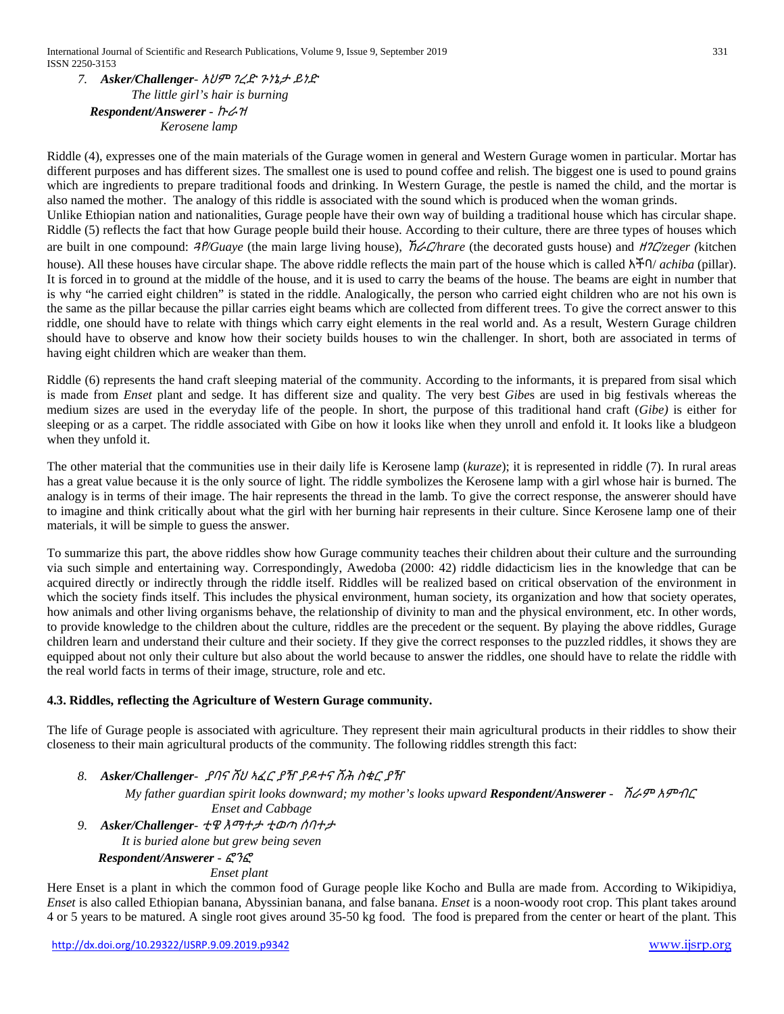*7. Asker/Challenger-* አህም ገረድ ጉነኔታ ይነድ  *The little girl's hair is burning Respondent/Answerer -* ኩራዝ  *Kerosene lamp*

Riddle (4), expresses one of the main materials of the Gurage women in general and Western Gurage women in particular. Mortar has different purposes and has different sizes. The smallest one is used to pound coffee and relish. The biggest one is used to pound grains which are ingredients to prepare traditional foods and drinking. In Western Gurage, the pestle is named the child, and the mortar is also named the mother. The analogy of this riddle is associated with the sound which is produced when the woman grinds. Unlike Ethiopian nation and nationalities, Gurage people have their own way of building a traditional house which has circular shape. Riddle (5) reflects the fact that how Gurage people build their house. According to their culture, there are three types of houses which are built in one compound: ጓየ*/Guaye* (the main large living house), ኸራር*/hrare* (the decorated gusts house) and ዘገር*/zeger (*kitchen house). All these houses have circular shape. The above riddle reflects the main part of the house which is called አችባ/ *achiba* (pillar). It is forced in to ground at the middle of the house, and it is used to carry the beams of the house. The beams are eight in number that is why "he carried eight children" is stated in the riddle. Analogically, the person who carried eight children who are not his own is the same as the pillar because the pillar carries eight beams which are collected from different trees. To give the correct answer to this riddle, one should have to relate with things which carry eight elements in the real world and. As a result, Western Gurage children should have to observe and know how their society builds houses to win the challenger. In short, both are associated in terms of having eight children which are weaker than them.

Riddle (6) represents the hand craft sleeping material of the community. According to the informants, it is prepared from sisal which is made from *Enset* plant and sedge. It has different size and quality. The very best *Gibe*s are used in big festivals whereas the medium sizes are used in the everyday life of the people. In short, the purpose of this traditional hand craft (*Gibe)* is either for sleeping or as a carpet. The riddle associated with Gibe on how it looks like when they unroll and enfold it. It looks like a bludgeon when they unfold it.

The other material that the communities use in their daily life is Kerosene lamp (*kuraze*); it is represented in riddle (7). In rural areas has a great value because it is the only source of light. The riddle symbolizes the Kerosene lamp with a girl whose hair is burned. The analogy is in terms of their image. The hair represents the thread in the lamb. To give the correct response, the answerer should have to imagine and think critically about what the girl with her burning hair represents in their culture. Since Kerosene lamp one of their materials, it will be simple to guess the answer.

To summarize this part, the above riddles show how Gurage community teaches their children about their culture and the surrounding via such simple and entertaining way. Correspondingly, Awedoba (2000: 42) riddle didacticism lies in the knowledge that can be acquired directly or indirectly through the riddle itself. Riddles will be realized based on critical observation of the environment in which the society finds itself. This includes the physical environment, human society, its organization and how that society operates, how animals and other living organisms behave, the relationship of divinity to man and the physical environment, etc. In other words, to provide knowledge to the children about the culture, riddles are the precedent or the sequent. By playing the above riddles, Gurage children learn and understand their culture and their society. If they give the correct responses to the puzzled riddles, it shows they are equipped about not only their culture but also about the world because to answer the riddles, one should have to relate the riddle with the real world facts in terms of their image, structure, role and etc.

## **4.3. Riddles, reflecting the Agriculture of Western Gurage community.**

The life of Gurage people is associated with agriculture. They represent their main agricultural products in their riddles to show their closeness to their main agricultural products of the community. The following riddles strength this fact:

*8. Asker/Challenger-* ያባና ሸህ ኣፈር ያዥ ያዶተና ሸሕ ስቁር ያዥ

 *My father guardian spirit looks downward; my mother's looks upward Respondent/Answerer -* ሽራም አምብር  *Enset and Cabbage*

*9. Asker/Challenger-* ቲዌ እማተታ ቲወጣ ሰባተታ *It is buried alone but grew being seven Respondent/Answerer -* ፎንፎ

 *Enset plant*

Here Enset is a plant in which the common food of Gurage people like Kocho and Bulla are made from. According to Wikipidiya, *Enset* is also called Ethiopian banana, Abyssinian banana, and false banana. *Enset* is a noon-woody root crop. This plant takes around 4 or 5 years to be matured. A single root gives around 35-50 kg food. The food is prepared from the center or heart of the plant. This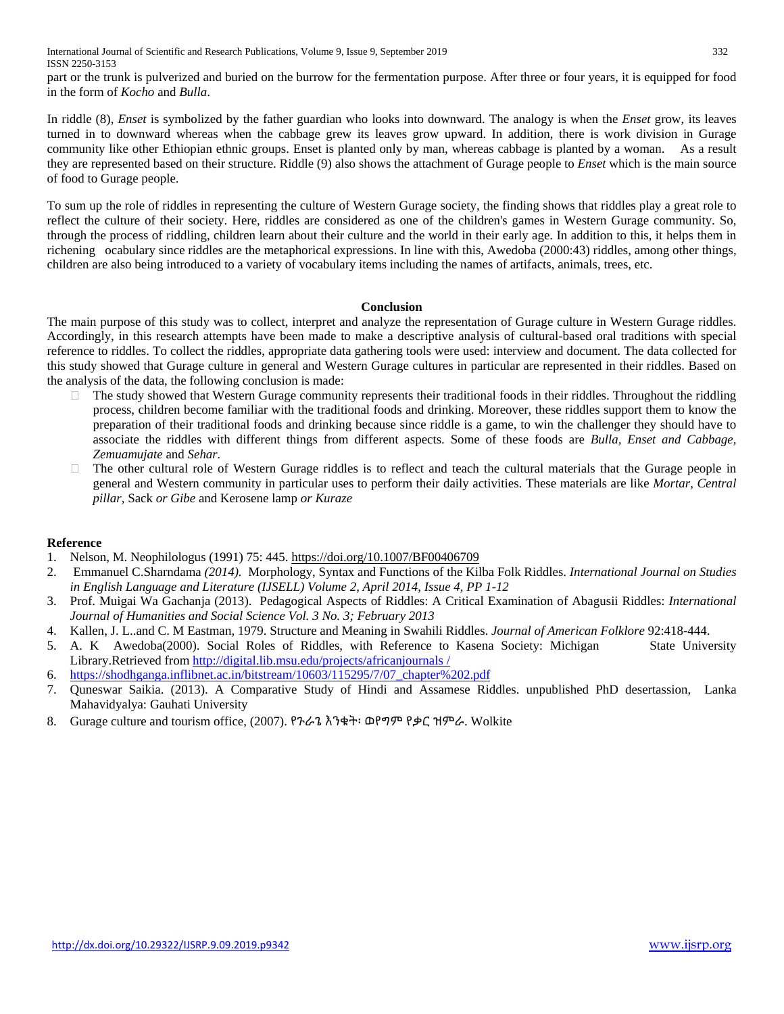part or the trunk is pulverized and buried on the burrow for the fermentation purpose. After three or four years, it is equipped for food in the form of *Kocho* and *Bulla*.

In riddle (8), *Enset* is symbolized by the father guardian who looks into downward. The analogy is when the *Enset* grow, its leaves turned in to downward whereas when the cabbage grew its leaves grow upward. In addition, there is work division in Gurage community like other Ethiopian ethnic groups. Enset is planted only by man, whereas cabbage is planted by a woman. As a result they are represented based on their structure. Riddle (9) also shows the attachment of Gurage people to *Enset* which is the main source of food to Gurage people.

To sum up the role of riddles in representing the culture of Western Gurage society, the finding shows that riddles play a great role to reflect the culture of their society. Here, riddles are considered as one of the children's games in Western Gurage community. So, through the process of riddling, children learn about their culture and the world in their early age. In addition to this, it helps them in richening ocabulary since riddles are the metaphorical expressions. In line with this, Awedoba (2000:43) riddles, among other things, children are also being introduced to a variety of vocabulary items including the names of artifacts, animals, trees, etc.

#### **Conclusion**

The main purpose of this study was to collect, interpret and analyze the representation of Gurage culture in Western Gurage riddles. Accordingly, in this research attempts have been made to make a descriptive analysis of cultural-based oral traditions with special reference to riddles. To collect the riddles, appropriate data gathering tools were used: interview and document. The data collected for this study showed that Gurage culture in general and Western Gurage cultures in particular are represented in their riddles. Based on the analysis of the data, the following conclusion is made:

- ⮚ The study showed that Western Gurage community represents their traditional foods in their riddles. Throughout the riddling process, children become familiar with the traditional foods and drinking. Moreover, these riddles support them to know the preparation of their traditional foods and drinking because since riddle is a game, to win the challenger they should have to associate the riddles with different things from different aspects. Some of these foods are *Bulla, Enset and Cabbage, Zemuamujate* and *Sehar.*
- $\Box$  The other cultural role of Western Gurage riddles is to reflect and teach the cultural materials that the Gurage people in general and Western community in particular uses to perform their daily activities. These materials are like *Mortar, Central pillar,* Sack *or Gibe* and Kerosene lamp *or Kuraze*

## **Reference**

- 1. Nelson, M. Neophilologus (1991) 75: 445[. https://doi.org/10.1007/BF00406709](https://doi.org/10.1007/BF00406709)
- 2. Emmanuel C.Sharndama *(2014).* Morphology, Syntax and Functions of the Kilba Folk Riddles. *International Journal on Studies in English Language and Literature (IJSELL) Volume 2, April 2014, Issue 4, PP 1-12*
- 3. Prof. Muigai Wa Gachanja (2013). Pedagogical Aspects of Riddles: A Critical Examination of Abagusii Riddles: *International Journal of Humanities and Social Science Vol. 3 No. 3; February 2013*
- 4. Kallen, J. L..and C. M Eastman, 1979. Structure and Meaning in Swahili Riddles. *Journal of American Folklore* 92:418-444.
- 5. A. K Awedoba(2000). Social Roles of Riddles, with Reference to Kasena Society: Michigan State University Library.Retrieved fro[m http://digital.lib.msu.edu/projects/africanjournals /](http://digital.lib.msu.edu/projects/africanjournals%20/)
- 6. [https://shodhganga.inflibnet.ac.in/bitstream/10603/115295/7/07\\_chapter%202.pdf](https://shodhganga.inflibnet.ac.in/bitstream/10603/115295/7/07_chapter%202.pdf)
- 7. Quneswar Saikia. (2013). A Comparative Study of Hindi and Assamese Riddles. unpublished PhD desertassion, Lanka Mahavidyalya: Gauhati University
- 8. Gurage culture and tourism office, (2007). የጉራጌ እንቁት፡ ወየግም የቃር ዝምራ. Wolkite